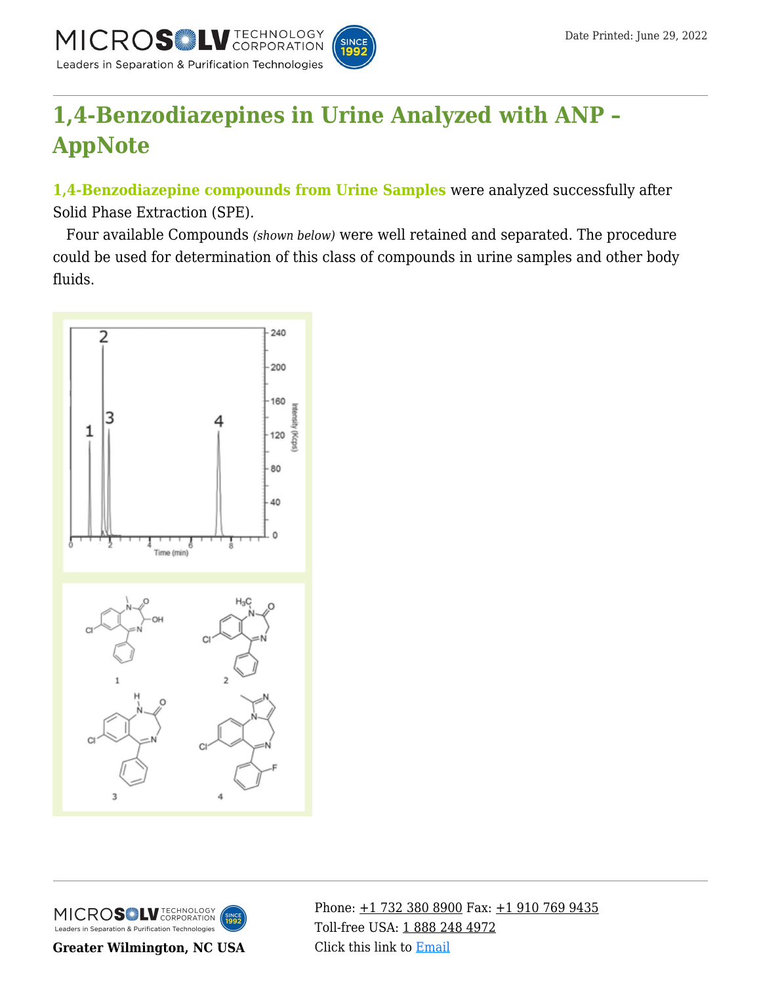

# **[1,4-Benzodiazepines in Urine Analyzed with ANP –](https://kb.mtc-usa.com/article/aa-02318/46/) [AppNote](https://kb.mtc-usa.com/article/aa-02318/46/)**

**1,4-Benzodiazepine compounds from Urine Samples** were analyzed successfully after Solid Phase Extraction (SPE).

—Four available Compounds *(shown below)* were well retained and separated. The procedure could be used for determination of this class of compounds in urine samples and other body fluids.





**Greater Wilmington, NC USA**

Phone:  $\pm$ 1 732 380 8900 Fax:  $\pm$ 1 910 769 9435 Toll-free USA: [1 888 248 4972](#page--1-0) Click this link to [Email](https://www.mtc-usa.com/contact)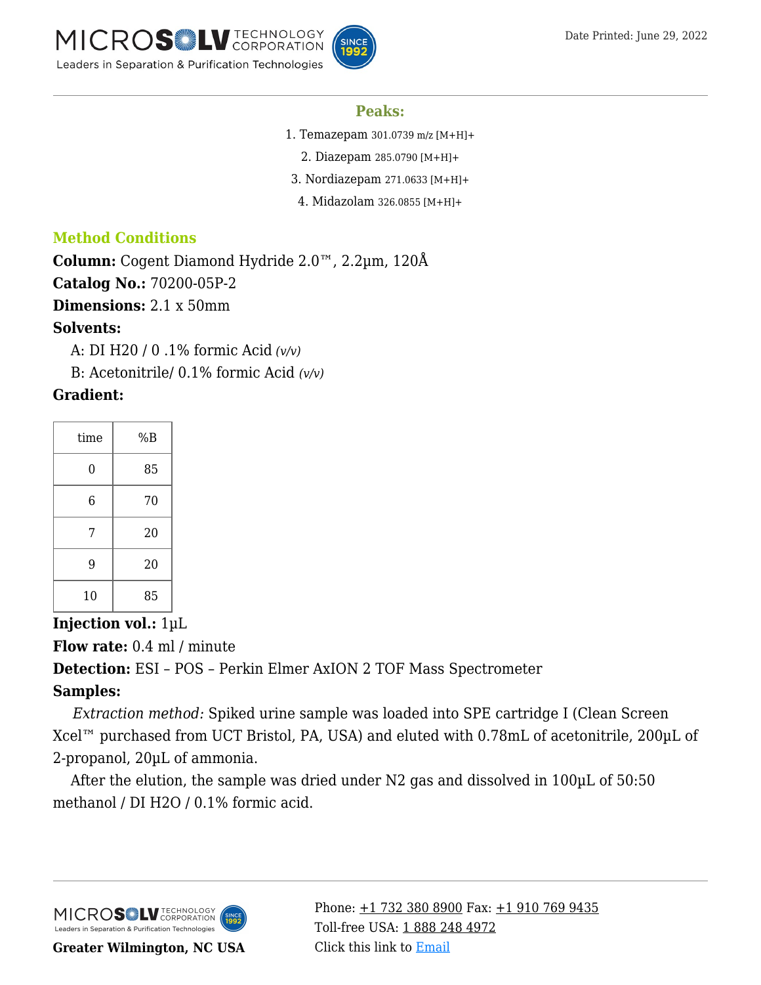

#### **Peaks:**

- 1. Temazepam 301.0739 m/z [M+H]+
	- 2. Diazepam 285.0790 [M+H]+
- 3. Nordiazepam 271.0633 [M+H]+
- 4. Midazolam 326.0855 [M+H]+

## **Method Conditions**

**Column:** Cogent Diamond Hydride 2.0™, 2.2µm, 120Å

**Catalog No.:** 70200-05P-2

**Dimensions:** 2.1 x 50mm

#### **Solvents:**

—-A: DI H20 / 0 .1% formic Acid *(v/v)*

—-B: Acetonitrile/ 0.1% formic Acid *(v/v)*

## **Gradient:**

| time           | %B |
|----------------|----|
| $\overline{0}$ | 85 |
| 6              | 70 |
| 7              | 20 |
| 9              | 20 |
| 10             | 85 |

**Injection vol.:** 1µL

**Flow rate:** 0.4 ml / minute

**Detection:** ESI – POS – Perkin Elmer AxION 2 TOF Mass Spectrometer

# **Samples:**

—*–Extraction method:* Spiked urine sample was loaded into SPE cartridge I (Clean Screen Xcel™ purchased from UCT Bristol, PA, USA) and eluted with 0.78mL of acetonitrile, 200µL of 2-propanol, 20µL of ammonia.

After the elution, the sample was dried under N2 gas and dissolved in  $100\mu$ L of  $50:50$ methanol / DI H2O / 0.1% formic acid.



**Greater Wilmington, NC USA**

Phone:  $\pm$ 1 732 380 8900 Fax:  $\pm$ 1 910 769 9435 Toll-free USA: [1 888 248 4972](#page--1-0) Click this link to [Email](https://www.mtc-usa.com/contact)